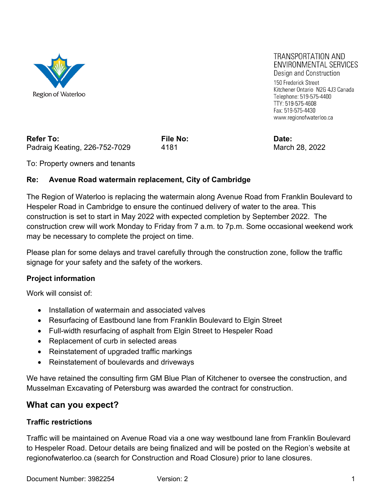

**TRANSPORTATION AND** ENVIRONMENTAL SERVICES Design and Construction 150 Frederick Street Kitchener Ontario N2G 4J3 Canada Telephone: 519-575-4400

Refer To: **File No:** File No: **Date:** Property Refer To: Padraig Keating, 226-752-7029 4181 4181 March 28, 2022

TTY: 519-575-4608 Fax: 519-575-4430 www.regionofwaterloo.ca

To: Property owners and tenants

## **Re: Avenue Road watermain replacement, City of Cambridge**

The Region of Waterloo is replacing the watermain along Avenue Road from Franklin Boulevard to Hespeler Road in Cambridge to ensure the continued delivery of water to the area. This construction is set to start in May 2022 with expected completion by September 2022. The construction crew will work Monday to Friday from 7 a.m. to 7p.m. Some occasional weekend work may be necessary to complete the project on time.

Please plan for some delays and travel carefully through the construction zone, follow the traffic signage for your safety and the safety of the workers.

### **Project information**

Work will consist of:

- Installation of watermain and associated valves
- Resurfacing of Eastbound lane from Franklin Boulevard to Elgin Street
- Full-width resurfacing of asphalt from Elgin Street to Hespeler Road
- Replacement of curb in selected areas
- Reinstatement of upgraded traffic markings
- Reinstatement of boulevards and driveways

We have retained the consulting firm GM Blue Plan of Kitchener to oversee the construction, and Musselman Excavating of Petersburg was awarded the contract for construction.

# **What can you expect?**

### **Traffic restrictions**

Traffic will be maintained on Avenue Road via a one way westbound lane from Franklin Boulevard to Hespeler Road. Detour details are being finalized and will be posted on the Region's website at regionofwaterloo.ca (search for Construction and Road Closure) prior to lane closures.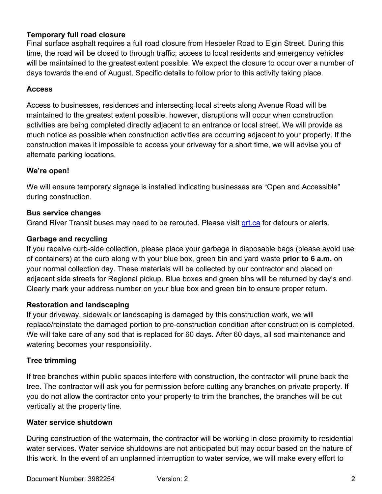## **Temporary full road closure**

Final surface asphalt requires a full road closure from Hespeler Road to Elgin Street. During this time, the road will be closed to through traffic; access to local residents and emergency vehicles will be maintained to the greatest extent possible. We expect the closure to occur over a number of days towards the end of August. Specific details to follow prior to this activity taking place.

### **Access**

Access to businesses, residences and intersecting local streets along Avenue Road will be maintained to the greatest extent possible, however, disruptions will occur when construction activities are being completed directly adjacent to an entrance or local street. We will provide as much notice as possible when construction activities are occurring adjacent to your property. If the construction makes it impossible to access your driveway for a short time, we will advise you of alternate parking locations.

## **We're open!**

We will ensure temporary signage is installed indicating businesses are "Open and Accessible" during construction.

## **Bus service changes**

Grand River Transit buses may need to be rerouted. Please visit grt.ca for detours or alerts.

# **Garbage and recycling**

If you receive curb-side collection, please place your garbage in disposable bags (please avoid use of containers) at the curb along with your blue box, green bin and yard waste **prior to 6 a.m.** on your normal collection day. These materials will be collected by our contractor and placed on adjacent side streets for Regional pickup. Blue boxes and green bins will be returned by day's end. Clearly mark your address number on your blue box and green bin to ensure proper return.

# **Restoration and landscaping**

If your driveway, sidewalk or landscaping is damaged by this construction work, we will replace/reinstate the damaged portion to pre-construction condition after construction is completed. We will take care of any sod that is replaced for 60 days. After 60 days, all sod maintenance and watering becomes your responsibility.

# **Tree trimming**

If tree branches within public spaces interfere with construction, the contractor will prune back the tree. The contractor will ask you for permission before cutting any branches on private property. If you do not allow the contractor onto your property to trim the branches, the branches will be cut vertically at the property line.

### **Water service shutdown**

During construction of the watermain, the contractor will be working in close proximity to residential water services. Water service shutdowns are not anticipated but may occur based on the nature of this work. In the event of an unplanned interruption to water service, we will make every effort to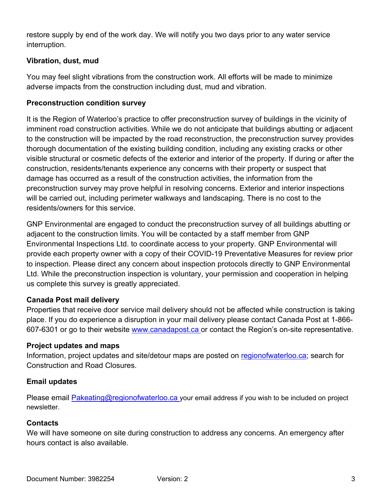restore supply by end of the work day. We will notify you two days prior to any water service interruption.

## **Vibration, dust, mud**

You may feel slight vibrations from the construction work. All efforts will be made to minimize adverse impacts from the construction including dust, mud and vibration.

## **Preconstruction condition survey**

It is the Region of Waterloo's practice to offer preconstruction survey of buildings in the vicinity of imminent road construction activities. While we do not anticipate that buildings abutting or adjacent to the construction will be impacted by the road reconstruction, the preconstruction survey provides thorough documentation of the existing building condition, including any existing cracks or other visible structural or cosmetic defects of the exterior and interior of the property. If during or after the construction, residents/tenants experience any concerns with their property or suspect that damage has occurred as a result of the construction activities, the information from the preconstruction survey may prove helpful in resolving concerns. Exterior and interior inspections will be carried out, including perimeter walkways and landscaping. There is no cost to the residents/owners for this service.

GNP Environmental are engaged to conduct the preconstruction survey of all buildings abutting or adjacent to the construction limits. You will be contacted by a staff member from GNP Environmental Inspections Ltd. to coordinate access to your property. GNP Environmental will provide each property owner with a copy of their COVID-19 Preventative Measures for review prior to inspection. Please direct any concern about inspection protocols directly to GNP Environmental Ltd. While the preconstruction inspection is voluntary, your permission and cooperation in helping us complete this survey is greatly appreciated.

### **Canada Post mail delivery**

Properties that receive door service mail delivery should not be affected while construction is taking place. If you do experience a disruption in your mail delivery please contact Canada Post at 1-866- 607-6301 or go to their website www.canadapost.ca or contact the Region's on-site representative.

# **Project updates and maps**

Information, project updates and site/detour maps are posted on regionofwaterloo.ca; search for Construction and Road Closures.

### **Email updates**

Please email **Pakeating@regionofwaterloo.ca** your email address if you wish to be included on project newsletter.

### **Contacts**

We will have someone on site during construction to address any concerns. An emergency after hours contact is also available.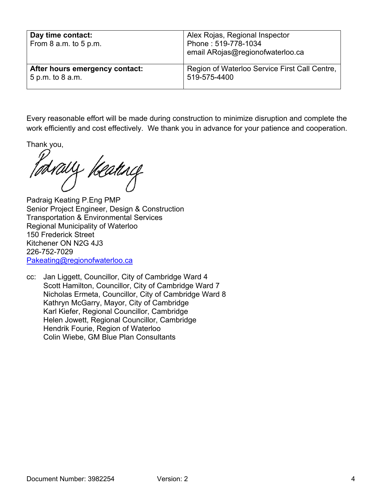| Day time contact:<br>From 8 a.m. to 5 p.m. | Alex Rojas, Regional Inspector<br>Phone: 519-778-1034<br>email ARojas@regionofwaterloo.ca |
|--------------------------------------------|-------------------------------------------------------------------------------------------|
| After hours emergency contact:             | Region of Waterloo Service First Call Centre,                                             |
| 5 p.m. to 8 a.m.                           | 519-575-4400                                                                              |

Every reasonable effort will be made during construction to minimize disruption and complete the work efficiently and cost effectively. We thank you in advance for your patience and cooperation.

Thank you,

Meating

Padraig Keating P.Eng PMP Senior Project Engineer, Design & Construction Transportation & Environmental Services Regional Municipality of Waterloo 150 Frederick Street Kitchener ON N2G 4J3 226-752-7029 Pakeating@regionofwaterloo.ca

cc: Jan Liggett, Councillor, City of Cambridge Ward 4 Scott Hamilton, Councillor, City of Cambridge Ward 7 Nicholas Ermeta, Councillor, City of Cambridge Ward 8 Kathryn McGarry, Mayor, City of Cambridge Karl Kiefer, Regional Councillor, Cambridge Helen Jowett, Regional Councillor, Cambridge Hendrik Fourie, Region of Waterloo Colin Wiebe, GM Blue Plan Consultants